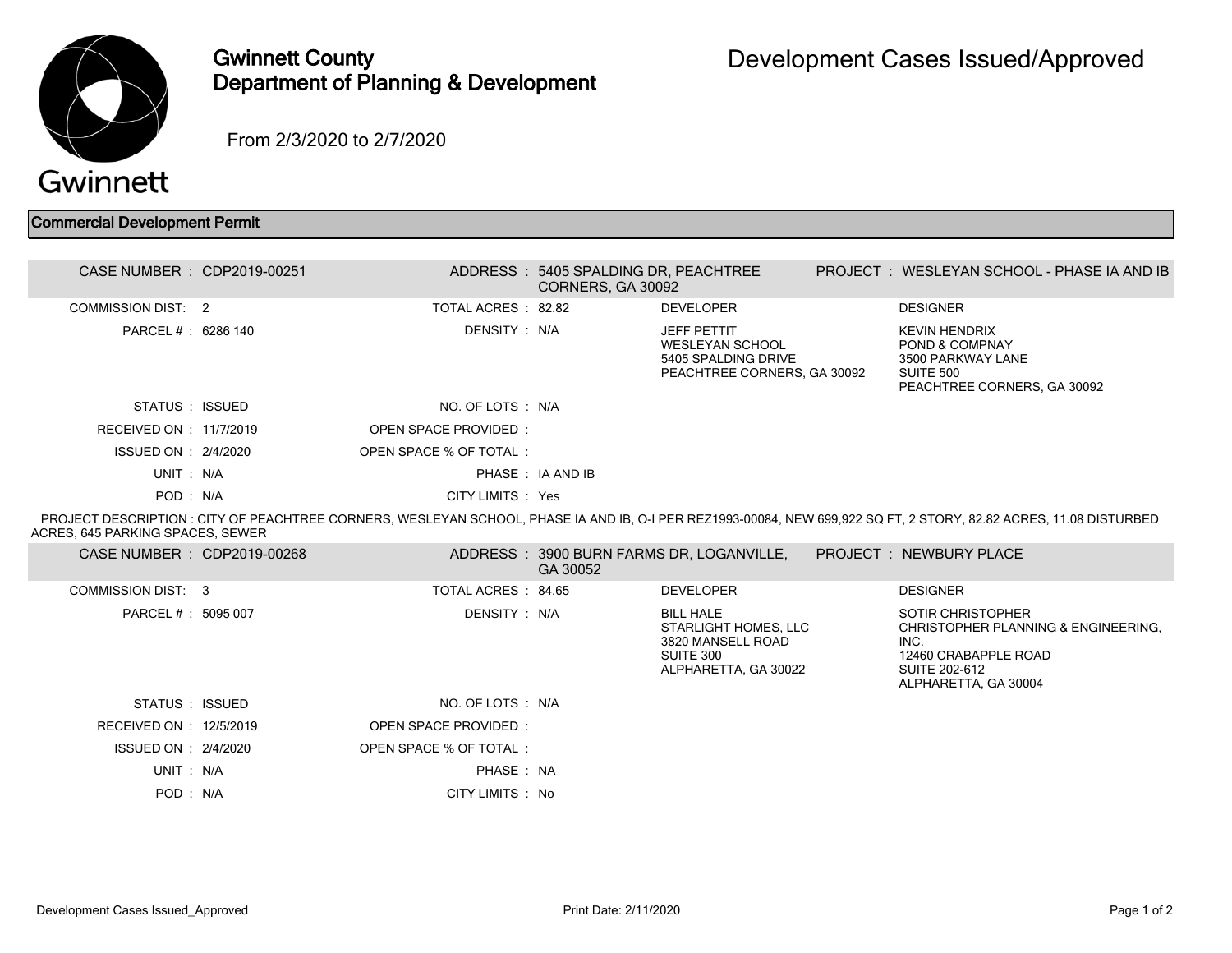

## Gwinnett County Department of Planning & Development

12460 CRABAPPLE ROAD

SUITE 202-612 ALPHARETTA, GA 30004

From 2/3/2020 to 2/7/2020

STATUS : ISSUED NO. OF LOTS : N/A

UNIT : N/A PHASE : NA POD : N/A CITY LIMITS : No

RECEIVED ON : 12/5/2019 OPEN SPACE PROVIDED : ISSUED ON : 2/4/2020 OPEN SPACE % OF TOTAL :

## Commercial Development Permit

| CASE NUMBER : CDP2019-00251      |                                                                                                                                                                    | ADDRESS: 5405 SPALDING DR, PEACHTREE<br>CORNERS, GA 30092 |                                                                                                    | PROJECT: WESLEYAN SCHOOL - PHASE IA AND IB                                                                         |  |
|----------------------------------|--------------------------------------------------------------------------------------------------------------------------------------------------------------------|-----------------------------------------------------------|----------------------------------------------------------------------------------------------------|--------------------------------------------------------------------------------------------------------------------|--|
| COMMISSION DIST: 2               | TOTAL ACRES : 82.82                                                                                                                                                |                                                           | <b>DEVELOPER</b>                                                                                   | <b>DESIGNER</b>                                                                                                    |  |
| PARCEL # : 6286 140              | DENSITY : N/A                                                                                                                                                      |                                                           | <b>JEFF PETTIT</b><br><b>WESLEYAN SCHOOL</b><br>5405 SPALDING DRIVE<br>PEACHTREE CORNERS, GA 30092 | <b>KEVIN HENDRIX</b><br><b>POND &amp; COMPNAY</b><br>3500 PARKWAY LANE<br>SUITE 500<br>PEACHTREE CORNERS, GA 30092 |  |
| STATUS : ISSUED                  | NO. OF LOTS : N/A                                                                                                                                                  |                                                           |                                                                                                    |                                                                                                                    |  |
| RECEIVED ON : 11/7/2019          | OPEN SPACE PROVIDED:                                                                                                                                               |                                                           |                                                                                                    |                                                                                                                    |  |
| <b>ISSUED ON : 2/4/2020</b>      | OPEN SPACE % OF TOTAL:                                                                                                                                             |                                                           |                                                                                                    |                                                                                                                    |  |
| UNIT: N/A                        |                                                                                                                                                                    | PHASE : IA AND IB                                         |                                                                                                    |                                                                                                                    |  |
| POD: N/A                         | CITY LIMITS : Yes                                                                                                                                                  |                                                           |                                                                                                    |                                                                                                                    |  |
| ACRES, 645 PARKING SPACES, SEWER | PROJECT DESCRIPTION : CITY OF PEACHTREE CORNERS, WESLEYAN SCHOOL, PHASE IA AND IB, O-I PER REZ1993-00084, NEW 699,922 SQ FT, 2 STORY, 82.82 ACRES, 11.08 DISTURBED |                                                           |                                                                                                    |                                                                                                                    |  |
| CASE NUMBER : CDP2019-00268      |                                                                                                                                                                    | GA 30052                                                  | ADDRESS : 3900 BURN FARMS DR, LOGANVILLE,                                                          | PROJECT: NEWBURY PLACE                                                                                             |  |
| COMMISSION DIST: 3               | TOTAL ACRES: 84.65                                                                                                                                                 |                                                           | <b>DEVELOPER</b>                                                                                   | <b>DESIGNER</b>                                                                                                    |  |
| PARCEL # : 5095 007              | DENSITY : N/A                                                                                                                                                      |                                                           | <b>BILL HALE</b><br>STARLIGHT HOMES, LLC<br>3820 MANSELL ROAD                                      | <b>SOTIR CHRISTOPHER</b><br>CHRISTOPHER PLANNING & ENGINEERING,<br>INC.                                            |  |

SUITE 300

ALPHARETTA, GA 30022